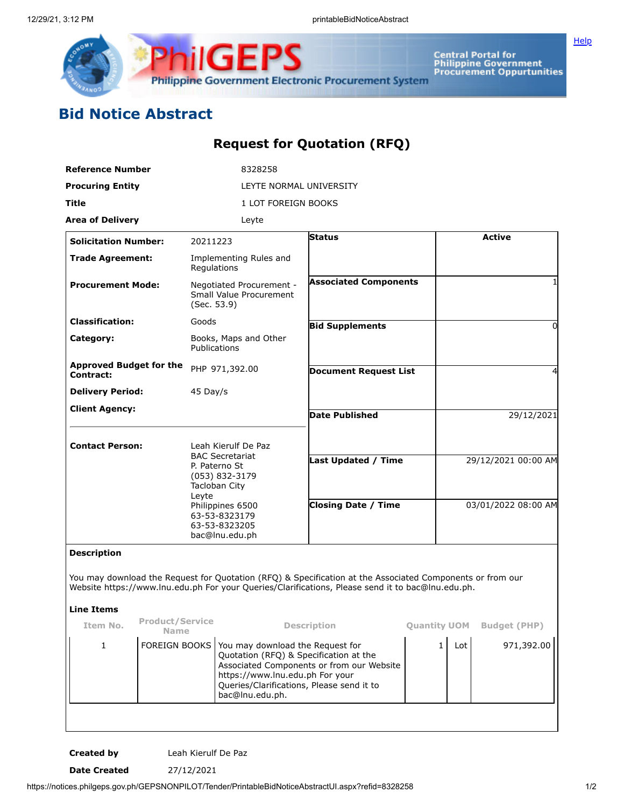

**Central Portal for<br>Philippine Government<br>Procurement Oppurtunities** 

**[Help](javascript:void(window.open()** 

## **Bid Notice Abstract**

## **Request for Quotation (RFQ)**

| Reference Number                            |                              |                                                                                                                                                 | 8328258                                                                                                                                                                                                                    |                                                                                                                                                                                                                |              |            |                                            |  |
|---------------------------------------------|------------------------------|-------------------------------------------------------------------------------------------------------------------------------------------------|----------------------------------------------------------------------------------------------------------------------------------------------------------------------------------------------------------------------------|----------------------------------------------------------------------------------------------------------------------------------------------------------------------------------------------------------------|--------------|------------|--------------------------------------------|--|
| <b>Procuring Entity</b>                     |                              | LEYTE NORMAL UNIVERSITY                                                                                                                         |                                                                                                                                                                                                                            |                                                                                                                                                                                                                |              |            |                                            |  |
| Title                                       |                              | 1 LOT FOREIGN BOOKS                                                                                                                             |                                                                                                                                                                                                                            |                                                                                                                                                                                                                |              |            |                                            |  |
| <b>Area of Delivery</b>                     |                              |                                                                                                                                                 | Leyte                                                                                                                                                                                                                      |                                                                                                                                                                                                                |              |            |                                            |  |
| <b>Solicitation Number:</b>                 |                              | 20211223                                                                                                                                        |                                                                                                                                                                                                                            | <b>Status</b>                                                                                                                                                                                                  |              |            | <b>Active</b>                              |  |
| <b>Trade Agreement:</b>                     |                              | Regulations                                                                                                                                     | Implementing Rules and                                                                                                                                                                                                     |                                                                                                                                                                                                                |              |            |                                            |  |
| <b>Procurement Mode:</b>                    |                              | Negotiated Procurement -<br>Small Value Procurement<br>(Sec. 53.9)                                                                              |                                                                                                                                                                                                                            | <b>Associated Components</b>                                                                                                                                                                                   |              |            |                                            |  |
| <b>Classification:</b>                      |                              | Goods                                                                                                                                           |                                                                                                                                                                                                                            | <b>Bid Supplements</b>                                                                                                                                                                                         |              |            | $\Omega$                                   |  |
| Category:                                   |                              | Books, Maps and Other<br>Publications                                                                                                           |                                                                                                                                                                                                                            |                                                                                                                                                                                                                |              |            |                                            |  |
| <b>Approved Budget for the</b><br>Contract: |                              | PHP 971,392.00                                                                                                                                  |                                                                                                                                                                                                                            | <b>Document Request List</b>                                                                                                                                                                                   |              | 4          |                                            |  |
| <b>Delivery Period:</b>                     |                              | 45 Day/s                                                                                                                                        |                                                                                                                                                                                                                            |                                                                                                                                                                                                                |              |            |                                            |  |
| <b>Client Agency:</b>                       |                              |                                                                                                                                                 |                                                                                                                                                                                                                            | <b>Date Published</b>                                                                                                                                                                                          |              | 29/12/2021 |                                            |  |
| <b>Contact Person:</b>                      |                              | Leah Kierulf De Paz<br><b>BAC Secretariat</b><br>P. Paterno St<br>(053) 832-3179<br>Tacloban City<br>Leyte<br>Philippines 6500<br>63-53-8323179 |                                                                                                                                                                                                                            | <b>Last Updated / Time</b><br><b>Closing Date / Time</b>                                                                                                                                                       |              |            | 29/12/2021 00:00 AM<br>03/01/2022 08:00 AM |  |
| <b>Description</b><br><b>Line Items</b>     |                              | 63-53-8323205<br>bac@lnu.edu.ph                                                                                                                 |                                                                                                                                                                                                                            | You may download the Request for Quotation (RFQ) & Specification at the Associated Components or from our<br>Website https://www.lnu.edu.ph For your Queries/Clarifications, Please send it to bac@lnu.edu.ph. |              |            |                                            |  |
| <b>Product/Service</b><br>Item No.          |                              | Description                                                                                                                                     |                                                                                                                                                                                                                            | <b>Quantity UOM</b><br><b>Budget (PHP)</b>                                                                                                                                                                     |              |            |                                            |  |
| $\mathbf{1}$                                | Name<br><b>FOREIGN BOOKS</b> |                                                                                                                                                 | You may download the Request for<br>Quotation (RFQ) & Specification at the<br>Associated Components or from our Website<br>https://www.lnu.edu.ph For your<br>Queries/Clarifications, Please send it to<br>bac@lnu.edu.ph. |                                                                                                                                                                                                                | $\mathbf{1}$ | Lot        | 971,392.00                                 |  |

**Created by** Leah Kierulf De Paz

**Date Created** 27/12/2021

https://notices.philgeps.gov.ph/GEPSNONPILOT/Tender/PrintableBidNoticeAbstractUI.aspx?refid=8328258 1/2